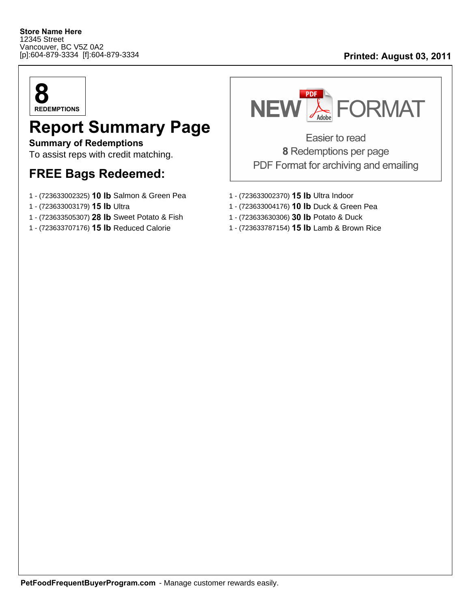## [p]:604-879-3334 [f]:604-879-3334 **Printed: August 03, 2011**



## **Report Summary Page**

**Summary of Redemptions** To assist reps with credit matching.

## **FREE Bags Redeemed:**

- 1 (723633002325) **10 lb** Salmon & Green Pea 1 (723633002370) **15 lb** Ultra Indoor
- 
- 1 (723633505307) **28 lb** Sweet Potato & Fish 1 (723633630306) **30 lb** Potato & Duck
- 



Easier to read 8 Redemptions per page PDF Format for archiving and emailing

- 
- 1 (723633003179) **15 lb** Ultra 1 (723633004176) **10 lb** Duck & Green Pea
	-
- 1 (723633707176) **15 lb** Reduced Calorie 1 (723633787154) **15 lb** Lamb & Brown Rice